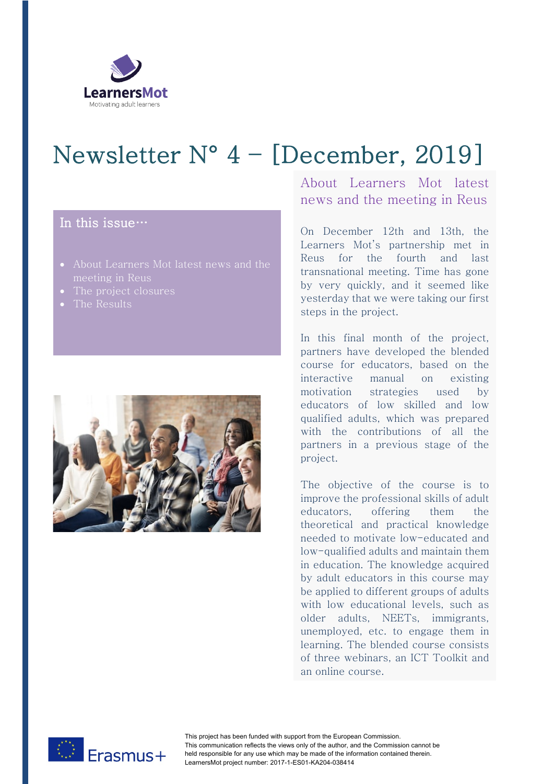

## Newsletter N° 4 – [December, 2019]

## In this issue…

- About Learners Mot latest news and the
- The project closures
- The Results



About Learners Mot latest news and the meeting in Reus

On December 12th and 13th, the Learners Mot's partnership met in Reus for the fourth and last transnational meeting. Time has gone by very quickly, and it seemed like yesterday that we were taking our first steps in the project.

In this final month of the project, partners have developed the blended course for educators, based on the interactive manual on existing motivation strategies used by educators of low skilled and low qualified adults, which was prepared with the contributions of all the partners in a previous stage of the project.

The objective of the course is to improve the professional skills of adult educators, offering them the theoretical and practical knowledge needed to motivate low-educated and low-qualified adults and maintain them in education. The knowledge acquired by adult educators in this course may be applied to different groups of adults with low educational levels, such as older adults, NEETs, immigrants, unemployed, etc. to engage them in learning. The blended course consists of three webinars, an ICT Toolkit and an online course.



This project has been funded with support from the European Commission. This communication reflects the views only of the author, and the Commission cannot be held responsible for any use which may be made of the information contained therein. LearnersMot project number: 2017-1-ES01-KA204-038414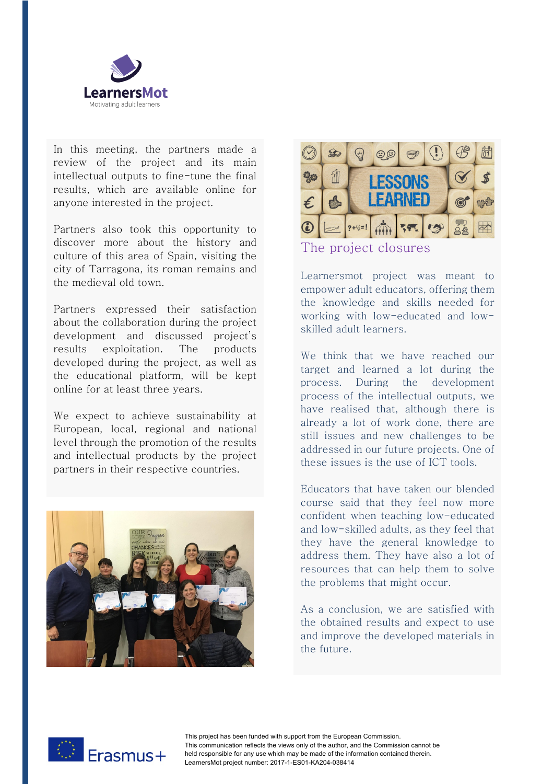

In this meeting, the partners made a review of the project and its main intellectual outputs to fine-tune the final results, which are available online for anyone interested in the project.

Partners also took this opportunity to discover more about the history and culture of this area of Spain, visiting the city of Tarragona, its roman remains and the medieval old town.

Partners expressed their satisfaction about the collaboration during the project development and discussed project's results exploitation. The products developed during the project, as well as the educational platform, will be kept online for at least three years.

We expect to achieve sustainability at European, local, regional and national level through the promotion of the results and intellectual products by the project partners in their respective countries.





The project closures

Learnersmot project was meant to empower adult educators, offering them the knowledge and skills needed for working with low-educated and lowskilled adult learners.

We think that we have reached our target and learned a lot during the process. During the development process of the intellectual outputs, we have realised that, although there is already a lot of work done, there are still issues and new challenges to be addressed in our future projects. One of these issues is the use of ICT tools.

Educators that have taken our blended course said that they feel now more confident when teaching low-educated and low-skilled adults, as they feel that they have the general knowledge to address them. They have also a lot of resources that can help them to solve the problems that might occur.

As a conclusion, we are satisfied with the obtained results and expect to use and improve the developed materials in the future.



This project has been funded with support from the European Commission. This communication reflects the views only of the author, and the Commission cannot be held responsible for any use which may be made of the information contained therein. LearnersMot project number: 2017-1-ES01-KA204-038414